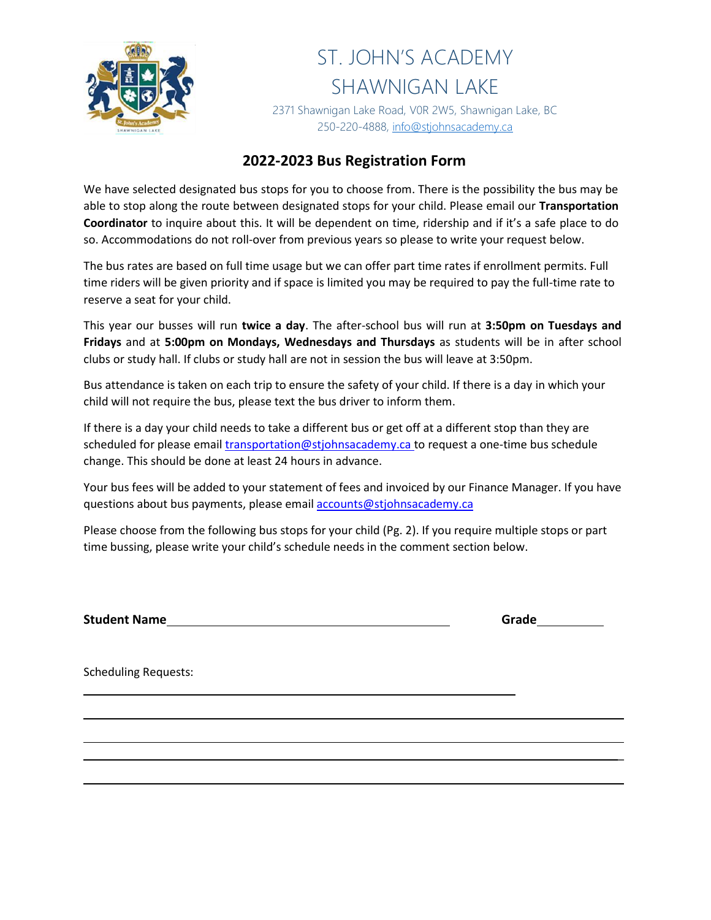

2371 Shawnigan Lake Road, V0R 2W5, Shawnigan Lake, BC 250-220-4888, [info@stjohnsacademy.ca](mailto:info@stjohnsacademy.ca)

## **2022-2023 Bus Registration Form**

We have selected designated bus stops for you to choose from. There is the possibility the bus may be able to stop along the route between designated stops for your child. Please email our **Transportation Coordinator** to inquire about this. It will be dependent on time, ridership and if it's a safe place to do so. Accommodations do not roll-over from previous years so please to write your request below.

The bus rates are based on full time usage but we can offer part time rates if enrollment permits. Full time riders will be given priority and if space is limited you may be required to pay the full-time rate to reserve a seat for your child.

This year our busses will run **twice a day**. The after-school bus will run at **3:50pm on Tuesdays and Fridays** and at **5:00pm on Mondays, Wednesdays and Thursdays** as students will be in after school clubs or study hall. If clubs or study hall are not in session the bus will leave at 3:50pm.

Bus attendance is taken on each trip to ensure the safety of your child. If there is a day in which your child will not require the bus, please text the bus driver to inform them.

If there is a day your child needs to take a different bus or get off at a different stop than they are scheduled for please email [transportation@stjohnsacademy.ca t](mailto:transportation@stjohnsacademy.ca)o request a one-time bus schedule change. This should be done at least 24 hours in advance.

Your bus fees will be added to your statement of fees and invoiced by our Finance Manager. If you have questions about bus payments, please email **accounts@stjohnsacademy.ca** 

Please choose from the following bus stops for your child (Pg. 2). If you require multiple stops or part time bussing, please write your child's schedule needs in the comment section below.

**Student Name Grade Grade Grade Grade Grade Grade Grade Grade Grade Grade Grade Grade Grade Grade Grade Grade Grade Grade Grade Grade Grade Grade Grade Grade Grade Grade** 

\_

Scheduling Requests: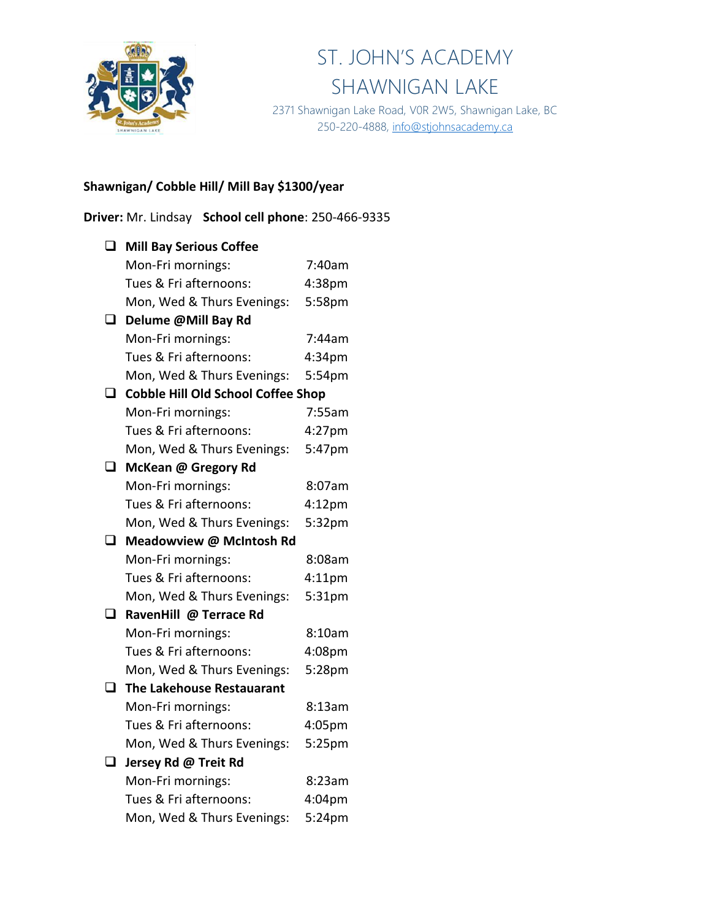

2371 Shawnigan Lake Road, V0R 2W5, Shawnigan Lake, BC 250-220-4888, [info@stjohnsacademy.ca](mailto:info@stjohnsacademy.ca)

## **Shawnigan/ Cobble Hill/ Mill Bay \$1300/year**

**Driver:** Mr. Lindsay **School cell phone**: 250-466-9335

| $\Box$ | <b>Mill Bay Serious Coffee</b>            |                    |
|--------|-------------------------------------------|--------------------|
|        | Mon-Fri mornings:                         | 7:40am             |
|        | Tues & Fri afternoons:                    | 4:38pm             |
|        | Mon, Wed & Thurs Evenings:                | 5:58pm             |
| ◻      | Delume @Mill Bay Rd                       |                    |
|        | Mon-Fri mornings:                         | 7:44am             |
|        | Tues & Fri afternoons:                    | 4:34 <sub>pm</sub> |
|        | Mon, Wed & Thurs Evenings:                | 5:54pm             |
| ப      | <b>Cobble Hill Old School Coffee Shop</b> |                    |
|        | Mon-Fri mornings:                         | 7:55am             |
|        | Tues & Fri afternoons:                    | 4:27pm             |
|        | Mon, Wed & Thurs Evenings:                | 5:47pm             |
| $\Box$ | McKean @ Gregory Rd                       |                    |
|        | Mon-Fri mornings:                         | 8:07am             |
|        | Tues & Fri afternoons:                    | 4:12 <sub>pm</sub> |
|        | Mon, Wed & Thurs Evenings:                | 5:32pm             |
| ◻      | Meadowview @ McIntosh Rd                  |                    |
|        | Mon-Fri mornings:                         | 8:08am             |
|        | Tues & Fri afternoons:                    | 4:11 <sub>pm</sub> |
|        | Mon, Wed & Thurs Evenings:                | 5:31pm             |
| O.     | RavenHill @ Terrace Rd                    |                    |
|        | Mon-Fri mornings:                         | 8:10am             |
|        | Tues & Fri afternoons:                    | 4:08pm             |
|        | Mon, Wed & Thurs Evenings:                | 5:28pm             |
| ❏      | The Lakehouse Restauarant                 |                    |
|        | Mon-Fri mornings:                         | 8:13am             |
|        | Tues & Fri afternoons:                    | 4:05pm             |
|        | Mon, Wed & Thurs Evenings:                | 5:25pm             |
| $\Box$ | Jersey Rd @ Treit Rd                      |                    |
|        | Mon-Fri mornings:                         | 8:23am             |
|        | Tues & Fri afternoons:                    | 4:04pm             |
|        | Mon, Wed & Thurs Evenings:                | 5:24pm             |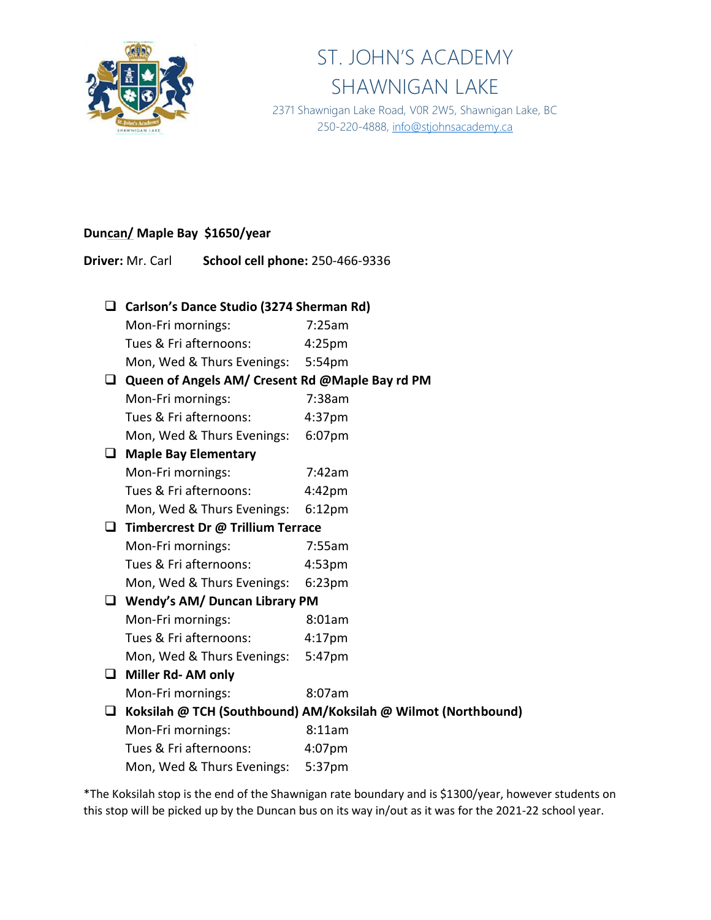

2371 Shawnigan Lake Road, V0R 2W5, Shawnigan Lake, BC 250-220-4888, [info@stjohnsacademy.ca](mailto:info@stjohnsacademy.ca)

#### **Duncan/ Maple Bay \$1650/year**

**Driver:** Mr. Carl **School cell phone:** 250-466-9336

## ❑ **Carlson's Dance Studio (3274 Sherman Rd)**

Mon-Fri mornings: 7:25am

Tues & Fri afternoons: 4:25pm

Mon, Wed & Thurs Evenings: 5:54pm

#### ❑ **Queen of Angels AM/ Cresent Rd @Maple Bay rd PM**

| Mon-Fri mornings:      | 7:38am             |
|------------------------|--------------------|
| Tues & Fri afternoons: | 4:37 <sub>pm</sub> |

|                            | . <i>.</i> |
|----------------------------|------------|
| Mon, Wed & Thurs Evenings: | 6:07pm     |

#### ❑ **Maple Bay Elementary**

| Mon-Fri mornings:          | 7:42am             |
|----------------------------|--------------------|
| Tues & Fri afternoons:     | 4:42 <sub>pm</sub> |
| Mon, Wed & Thurs Evenings: | 6:12pm             |

## ❑ **Timbercrest Dr @ Trillium Terrace**

| Mon-Fri mornings:          | 7:55am             |
|----------------------------|--------------------|
| Tues & Fri afternoons:     | 4:53 <sub>pm</sub> |
| Mon, Wed & Thurs Evenings: | $6:23$ pm          |

## ❑ **Wendy's AM/ Duncan Library PM**

| Mon-Fri mornings:      | 8:01am             |
|------------------------|--------------------|
| Tues & Fri afternoons: | 4:17 <sub>pm</sub> |

Mon, Wed & Thurs Evenings: 5:47pm

❑ **Miller Rd- AM only**

Mon-Fri mornings: 8:07am

❑ **Koksilah @ TCH (Southbound) AM/Koksilah @ Wilmot (Northbound)**

| Mon-Fri mornings:      | 8:11am    |
|------------------------|-----------|
| Tues & Fri afternoons: | $4:07$ pm |

Mon, Wed & Thurs Evenings: 5:37pm

\*The Koksilah stop is the end of the Shawnigan rate boundary and is \$1300/year, however students on this stop will be picked up by the Duncan bus on its way in/out as it was for the 2021-22 school year.